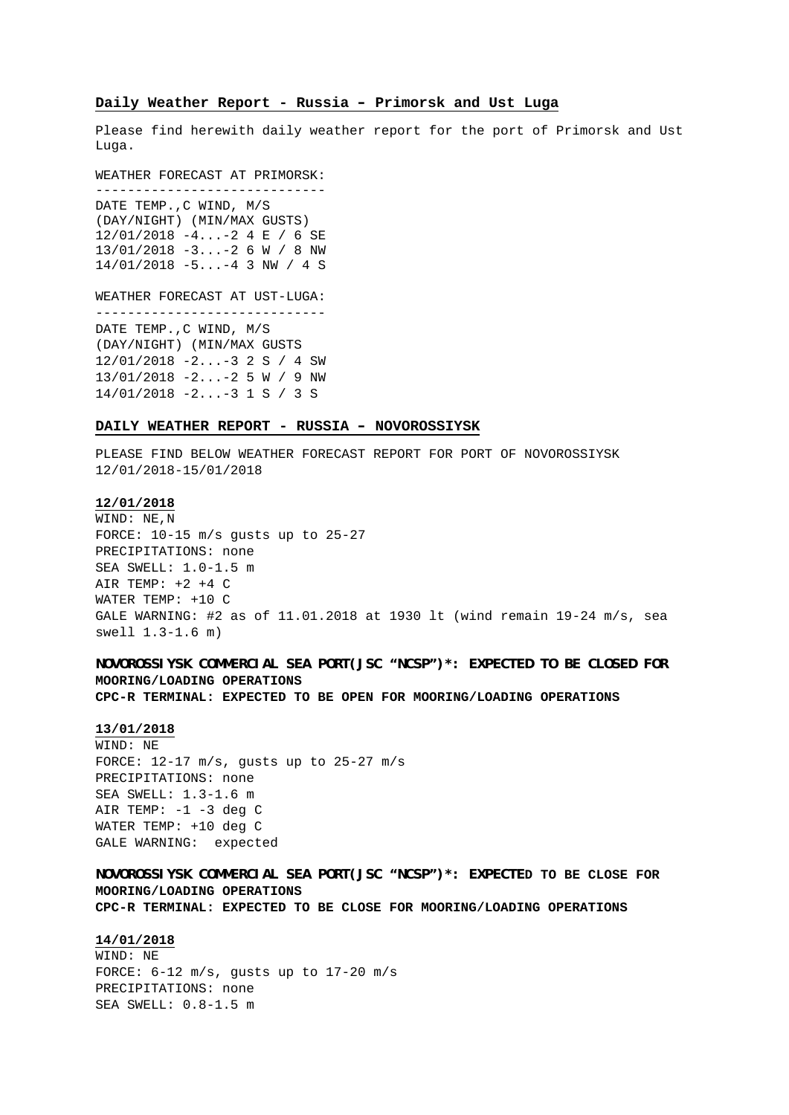#### **Daily Weather Report - Russia – Primorsk and Ust Luga**

Please find herewith daily weather report for the port of Primorsk and Ust Luga.

WEATHER FORECAST AT PRIMORSK: -----------------------------

DATE TEMP.,C WIND, M/S (DAY/NIGHT) (MIN/MAX GUSTS) 12/01/2018 -4...-2 4 E / 6 SE 13/01/2018 -3...-2 6 W / 8 NW 14/01/2018 -5...-4 3 NW / 4 S

WEATHER FORECAST AT UST-LUGA: -----------------------------

DATE TEMP.,C WIND, M/S (DAY/NIGHT) (MIN/MAX GUSTS 12/01/2018 -2...-3 2 S / 4 SW 13/01/2018 -2...-2 5 W / 9 NW 14/01/2018 -2...-3 1 S / 3 S

#### **DAILY WEATHER REPORT - RUSSIA – NOVOROSSIYSK**

PLEASE FIND BELOW WEATHER FORECAST REPORT FOR PORT OF NOVOROSSIYSK 12/01/2018-15/01/2018

### **12/01/2018**

WIND: NE,N FORCE: 10-15 m/s gusts up to 25-27 PRECIPITATIONS: none SEA SWELL: 1.0-1.5 m AIR TEMP:  $+2$   $+4$  C WATER TEMP: +10 C GALE WARNING: #2 as of 11.01.2018 at 1930 lt (wind remain 19-24 m/s, sea swell 1.3-1.6 m)

# **NOVOROSSIYSK COMMERCIAL SEA PORT(JSC "NCSP")\*: EXPECTED TO BE CLOSED FOR MOORING/LOADING OPERATIONS CPC-R TERMINAL: EXPECTED TO BE OPEN FOR MOORING/LOADING OPERATIONS**

**13/01/2018** WIND: NE FORCE: 12-17 m/s, gusts up to 25-27 m/s PRECIPITATIONS: none SEA SWELL: 1.3-1.6 m AIR TEMP:  $-1$   $-3$  deg C WATER TEMP: +10 deg C GALE WARNING: expected

**NOVOROSSIYSK COMMERCIAL SEA PORT(JSC "NCSP")\*: EXPECTED TO BE CLOSE FOR MOORING/LOADING OPERATIONS CPC-R TERMINAL: EXPECTED TO BE CLOSE FOR MOORING/LOADING OPERATIONS**

### **14/01/2018**

WIND: NE FORCE: 6-12 m/s, gusts up to 17-20 m/s PRECIPITATIONS: none SEA SWELL: 0.8-1.5 m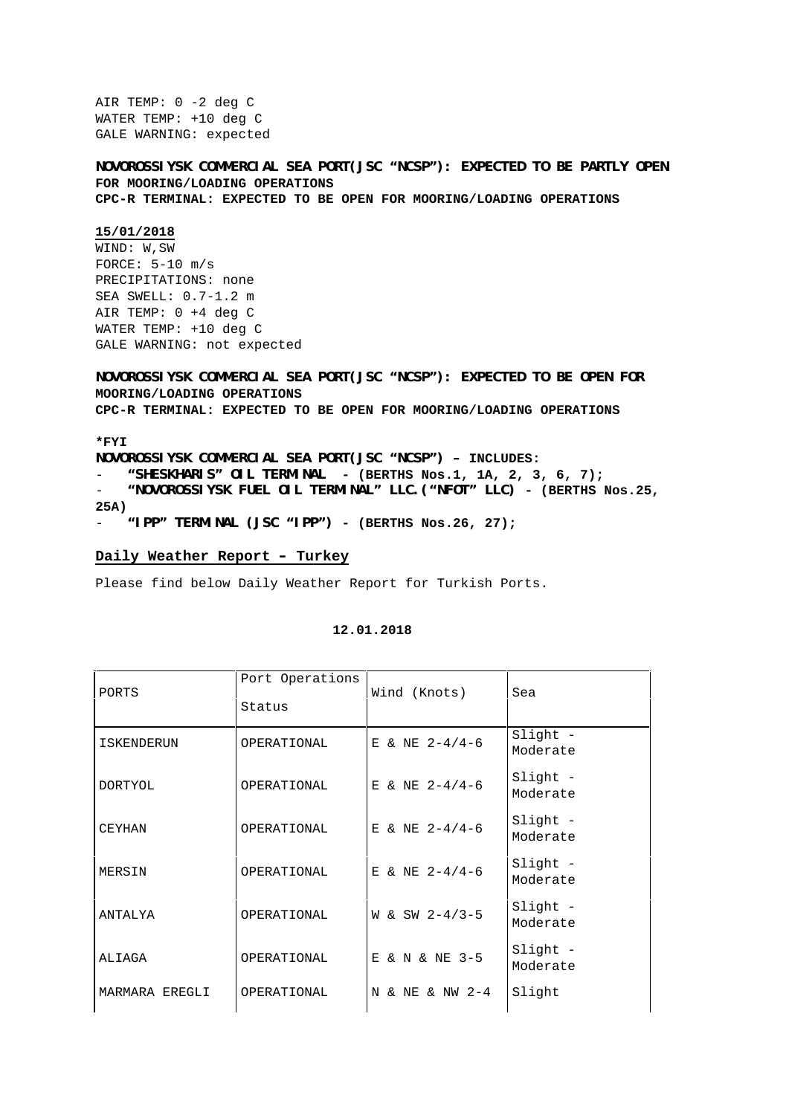AIR TEMP: 0 -2 deg C WATER TEMP: +10 deg C GALE WARNING: expected

**NOVOROSSIYSK COMMERCIAL SEA PORT(JSC "NCSP"): EXPECTED TO BE PARTLY OPEN FOR MOORING/LOADING OPERATIONS CPC-R TERMINAL: EXPECTED TO BE OPEN FOR MOORING/LOADING OPERATIONS**

#### **15/01/2018**

WIND: W,SW FORCE: 5-10 m/s PRECIPITATIONS: none SEA SWELL: 0.7-1.2 m AIR TEMP: 0 +4 deg C WATER TEMP: +10 deg C GALE WARNING: not expected

**NOVOROSSIYSK COMMERCIAL SEA PORT(JSC "NCSP"): EXPECTED TO BE OPEN FOR MOORING/LOADING OPERATIONS CPC-R TERMINAL: EXPECTED TO BE OPEN FOR MOORING/LOADING OPERATIONS**

**\*FYI**

**NOVOROSSIYSK COMMERCIAL SEA PORT(JSC "NCSP") – INCLUDES:** - **"SHESKHARIS" OIL TERMINAL - (BERTHS Nos.1, 1A, 2, 3, 6, 7);** - **"NOVOROSSIYSK FUEL OIL TERMINAL" LLC.("NFOT" LLC) - (BERTHS Nos.25, 25A)** - **"IPP" TERMINAL (JSC "IPP") - (BERTHS Nos.26, 27);**

**Daily Weather Report – Turkey**

Please find below Daily Weather Report for Turkish Ports.

| PORTS          | Port Operations<br>Status | Wind (Knots)     | Sea                  |
|----------------|---------------------------|------------------|----------------------|
| ISKENDERUN     | OPERATIONAL               | E & NE $2-4/4-6$ | Slight -<br>Moderate |
| <b>DORTYOL</b> | OPERATIONAL               | E & NE $2-4/4-6$ | Slight -<br>Moderate |
| <b>CEYHAN</b>  | OPERATIONAL               | E & NE $2-4/4-6$ | Slight -<br>Moderate |
| MERSIN         | OPERATIONAL               | E & NE $2-4/4-6$ | Slight -<br>Moderate |
| ANTALYA        | OPERATIONAL               | W & SW $2-4/3-5$ | Slight -<br>Moderate |
| ALIAGA         | OPERATIONAL               | E & N & NE 3-5   | Slight -<br>Moderate |
| MARMARA EREGLI | OPERATIONAL               | N & NE & NW 2-4  | Slight               |

# **12.01.2018**